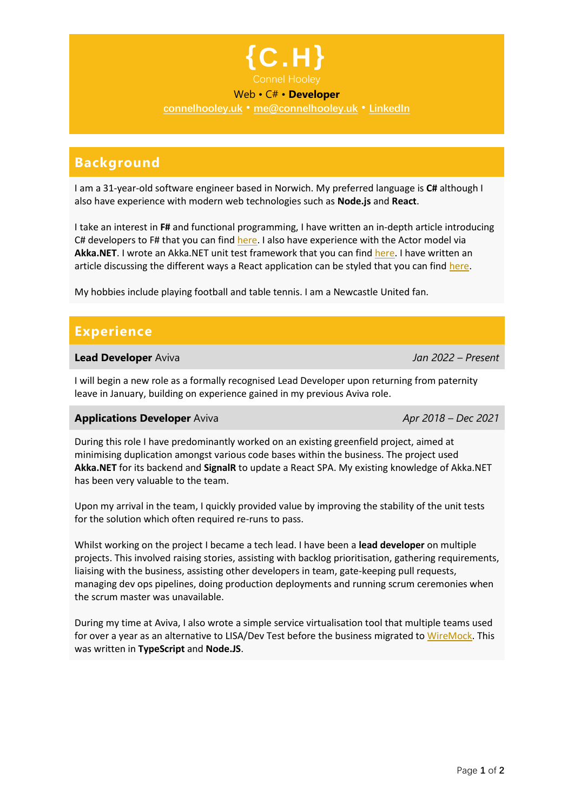

### Web • C# • **Developer**

**[connelhooley.uk](http://connelhooley.uk/)** • **[me@connelhooley.uk](mailto:me@connelhooley.uk)** • **[LinkedIn](http://linkedin.com/in/connelhooley)**

## **Background**

I am a 31-year-old software engineer based in Norwich. My preferred language is **C#** although I also have experience with modern web technologies such as **Node.js** and **React**.

I take an interest in **F#** and functional programming, I have written an in-depth article introducing C# developers to F# that you can find [here.](http://connelhooley.uk/blog/2017/04/10/f-sharp-guide) I also have experience with the Actor model via **Akka.NET**. I wrote an Akka.NET unit test framework that you can fin[d here.](https://github.com/connelhooley/AkkaTestingHelpers) I have written an article discussing the different ways a React application can be styled that you can find [here.](https://connelhooley.uk/blog/2020/05/14/react-styling)

My hobbies include playing football and table tennis. I am a Newcastle United fan.

## **Experience**

#### **Lead Developer** Aviva *Jan 2022 – Present*

I will begin a new role as a formally recognised Lead Developer upon returning from paternity leave in January, building on experience gained in my previous Aviva role.

#### **Applications Developer** Aviva *Apr 2018 – Dec 2021*

During this role I have predominantly worked on an existing greenfield project, aimed at minimising duplication amongst various code bases within the business. The project used **Akka.NET** for its backend and **SignalR** to update a React SPA. My existing knowledge of Akka.NET has been very valuable to the team.

Upon my arrival in the team, I quickly provided value by improving the stability of the unit tests for the solution which often required re-runs to pass.

Whilst working on the project I became a tech lead. I have been a **lead developer** on multiple projects. This involved raising stories, assisting with backlog prioritisation, gathering requirements, liaising with the business, assisting other developers in team, gate-keeping pull requests, managing dev ops pipelines, doing production deployments and running scrum ceremonies when the scrum master was unavailable.

During my time at Aviva, I also wrote a simple service virtualisation tool that multiple teams used for over a year as an alternative to LISA/Dev Test before the business migrated to [WireMock.](http://wiremock.org/) This was written in **TypeScript** and **Node.JS**.